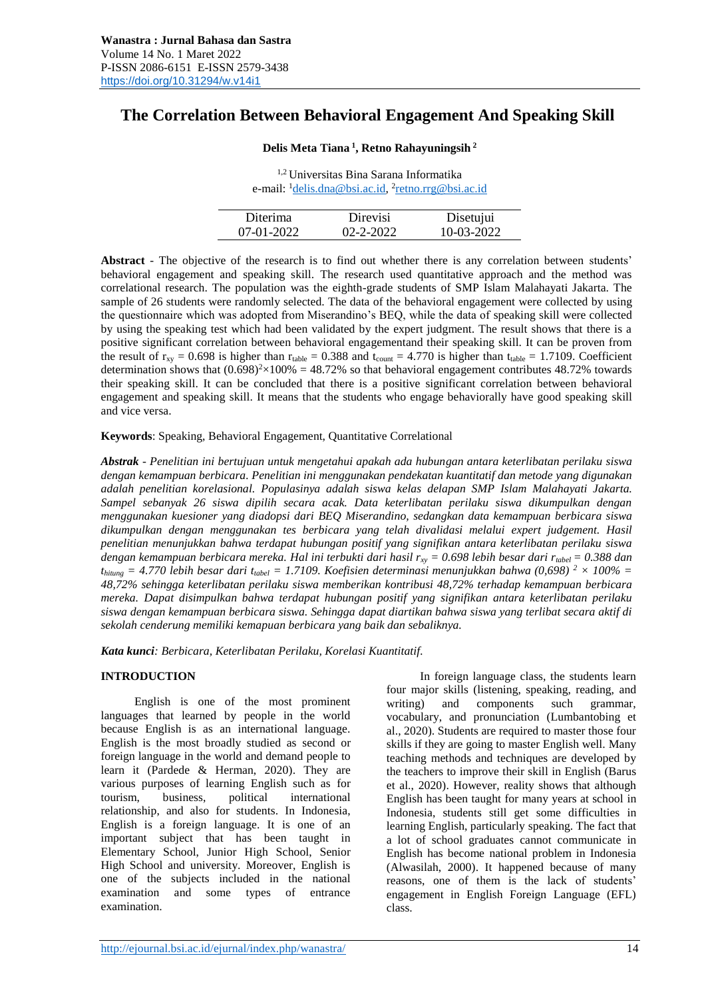# **The Correlation Between Behavioral Engagement And Speaking Skill**

# **Delis Meta Tiana <sup>1</sup> , Retno Rahayuningsih <sup>2</sup>**

1,2 Universitas Bina Sarana Informatika e-mail: <sup>1</sup><u>delis.dna@bsi.ac.id</u>, <sup>2</sup>[retno.rrg@bsi.ac.id](mailto:retno.rrg@bsi.ac.id)

| Diterima     | Direvisi        | Disetujui  |
|--------------|-----------------|------------|
| $07-01-2022$ | $02 - 2 - 2022$ | 10-03-2022 |

**Abstract** - The objective of the research is to find out whether there is any correlation between students' behavioral engagement and speaking skill. The research used quantitative approach and the method was correlational research. The population was the eighth-grade students of SMP Islam Malahayati Jakarta. The sample of 26 students were randomly selected. The data of the behavioral engagement were collected by using the questionnaire which was adopted from Miserandino's BEQ, while the data of speaking skill were collected by using the speaking test which had been validated by the expert judgment. The result shows that there is a positive significant correlation between behavioral engagementand their speaking skill. It can be proven from the result of  $r_{xy} = 0.698$  is higher than  $r_{table} = 0.388$  and  $t_{count} = 4.770$  is higher than  $t_{table} = 1.7109$ . Coefficient determination shows that  $(0.698)^{2} \times 100\% = 48.72\%$  so that behavioral engagement contributes 48.72% towards their speaking skill. It can be concluded that there is a positive significant correlation between behavioral engagement and speaking skill. It means that the students who engage behaviorally have good speaking skill and vice versa.

# **Keywords**: Speaking, Behavioral Engagement, Quantitative Correlational

*Abstrak - Penelitian ini bertujuan untuk mengetahui apakah ada hubungan antara keterlibatan perilaku siswa dengan kemampuan berbicara. Penelitian ini menggunakan pendekatan kuantitatif dan metode yang digunakan adalah penelitian korelasional. Populasinya adalah siswa kelas delapan SMP Islam Malahayati Jakarta. Sampel sebanyak 26 siswa dipilih secara acak. Data keterlibatan perilaku siswa dikumpulkan dengan menggunakan kuesioner yang diadopsi dari BEQ Miserandino, sedangkan data kemampuan berbicara siswa dikumpulkan dengan menggunakan tes berbicara yang telah divalidasi melalui expert judgement. Hasil penelitian menunjukkan bahwa terdapat hubungan positif yang signifikan antara keterlibatan perilaku siswa dengan kemampuan berbicara mereka. Hal ini terbukti dari hasil rxy = 0.698 lebih besar dari rtabel = 0.388 dan thitung = 4.770 lebih besar dari ttabel = 1.7109. Koefisien determinasi menunjukkan bahwa (0,698) <sup>2</sup> × 100% = 48,72% sehingga keterlibatan perilaku siswa memberikan kontribusi 48,72% terhadap kemampuan berbicara mereka. Dapat disimpulkan bahwa terdapat hubungan positif yang signifikan antara keterlibatan perilaku siswa dengan kemampuan berbicara siswa. Sehingga dapat diartikan bahwa siswa yang terlibat secara aktif di sekolah cenderung memiliki kemapuan berbicara yang baik dan sebaliknya.*

*Kata kunci: Berbicara, Keterlibatan Perilaku, Korelasi Kuantitatif.*

# **INTRODUCTION**

English is one of the most prominent languages that learned by people in the world because English is as an international language. English is the most broadly studied as second or foreign language in the world and demand people to learn it (Pardede & Herman, 2020). They are various purposes of learning English such as for tourism, business, political international relationship, and also for students. In Indonesia, English is a foreign language. It is one of an important subject that has been taught in Elementary School, Junior High School, Senior High School and university. Moreover, English is one of the subjects included in the national examination and some types of entrance examination.

In foreign language class, the students learn four major skills (listening, speaking, reading, and writing) and components such grammar, vocabulary, and pronunciation (Lumbantobing et al., 2020). Students are required to master those four skills if they are going to master English well. Many teaching methods and techniques are developed by the teachers to improve their skill in English (Barus et al., 2020). However, reality shows that although English has been taught for many years at school in Indonesia, students still get some difficulties in learning English, particularly speaking. The fact that a lot of school graduates cannot communicate in English has become national problem in Indonesia (Alwasilah, 2000). It happened because of many reasons, one of them is the lack of students' engagement in English Foreign Language (EFL) class.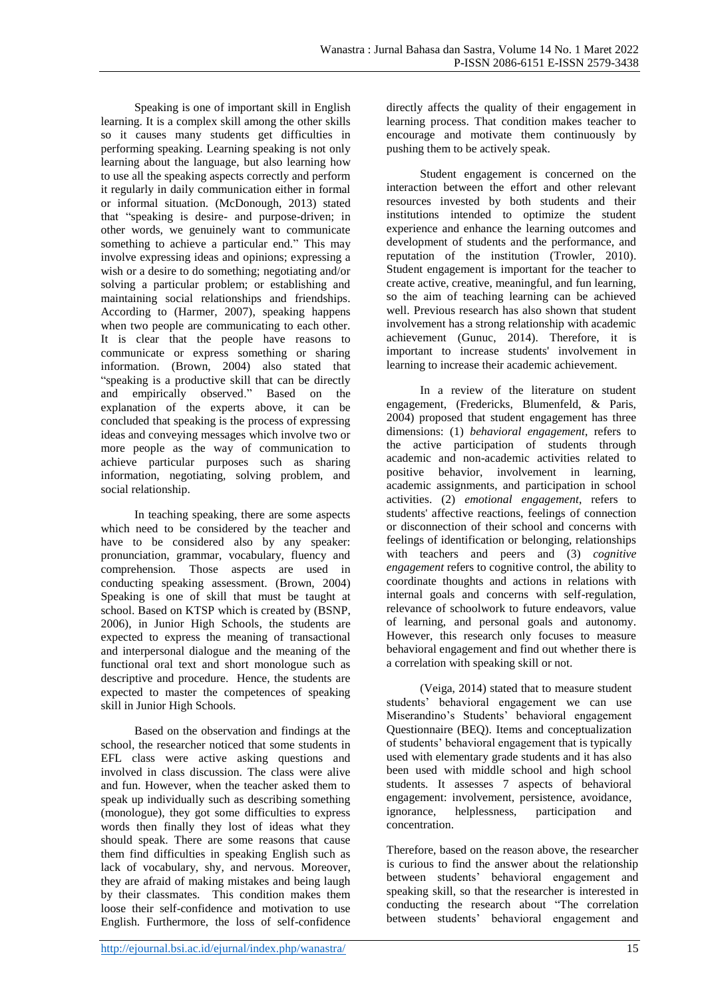Speaking is one of important skill in English learning. It is a complex skill among the other skills so it causes many students get difficulties in performing speaking. Learning speaking is not only learning about the language, but also learning how to use all the speaking aspects correctly and perform it regularly in daily communication either in formal or informal situation. (McDonough, 2013) stated that "speaking is desire- and purpose-driven; in other words, we genuinely want to communicate something to achieve a particular end." This may involve expressing ideas and opinions; expressing a wish or a desire to do something; negotiating and/or solving a particular problem; or establishing and maintaining social relationships and friendships. According to (Harmer, 2007), speaking happens when two people are communicating to each other. It is clear that the people have reasons to communicate or express something or sharing information. (Brown, 2004) also stated that "speaking is a productive skill that can be directly and empirically observed." Based on the explanation of the experts above, it can be concluded that speaking is the process of expressing ideas and conveying messages which involve two or more people as the way of communication to achieve particular purposes such as sharing information, negotiating, solving problem, and social relationship.

In teaching speaking, there are some aspects which need to be considered by the teacher and have to be considered also by any speaker: pronunciation, grammar, vocabulary, fluency and comprehension*.* Those aspects are used in conducting speaking assessment. (Brown, 2004) Speaking is one of skill that must be taught at school. Based on KTSP which is created by (BSNP, 2006), in Junior High Schools, the students are expected to express the meaning of transactional and interpersonal dialogue and the meaning of the functional oral text and short monologue such as descriptive and procedure. Hence, the students are expected to master the competences of speaking skill in Junior High Schools.

Based on the observation and findings at the school, the researcher noticed that some students in EFL class were active asking questions and involved in class discussion. The class were alive and fun. However, when the teacher asked them to speak up individually such as describing something (monologue), they got some difficulties to express words then finally they lost of ideas what they should speak. There are some reasons that cause them find difficulties in speaking English such as lack of vocabulary, shy, and nervous. Moreover, they are afraid of making mistakes and being laugh by their classmates. This condition makes them loose their self-confidence and motivation to use English. Furthermore, the loss of self-confidence directly affects the quality of their engagement in learning process. That condition makes teacher to encourage and motivate them continuously by pushing them to be actively speak.

Student engagement is concerned on the interaction between the effort and other relevant resources invested by both students and their institutions intended to optimize the student experience and enhance the learning outcomes and development of students and the performance, and reputation of the institution (Trowler, 2010). Student engagement is important for the teacher to create active, creative, meaningful, and fun learning, so the aim of teaching learning can be achieved well. Previous research has also shown that student involvement has a strong relationship with academic achievement (Gunuc, 2014). Therefore, it is important to increase students' involvement in learning to increase their academic achievement.

In a review of the literature on student engagement, (Fredericks, Blumenfeld, & Paris, 2004) proposed that student engagement has three dimensions: (1) *behavioral engagement*, refers to the active participation of students through academic and non-academic activities related to positive behavior, involvement in learning, academic assignments, and participation in school activities. (2) *emotional engagement*, refers to students' affective reactions, feelings of connection or disconnection of their school and concerns with feelings of identification or belonging, relationships with teachers and peers and (3) *cognitive engagement* refers to cognitive control, the ability to coordinate thoughts and actions in relations with internal goals and concerns with self-regulation, relevance of schoolwork to future endeavors, value of learning, and personal goals and autonomy. However, this research only focuses to measure behavioral engagement and find out whether there is a correlation with speaking skill or not.

(Veiga, 2014) stated that to measure student students' behavioral engagement we can use Miserandino's Students' behavioral engagement Questionnaire (BEQ). Items and conceptualization of students' behavioral engagement that is typically used with elementary grade students and it has also been used with middle school and high school students. It assesses 7 aspects of behavioral engagement: involvement, persistence, avoidance, ignorance, helplessness, participation and concentration.

Therefore, based on the reason above, the researcher is curious to find the answer about the relationship between students' behavioral engagement and speaking skill, so that the researcher is interested in conducting the research about "The correlation between students' behavioral engagement and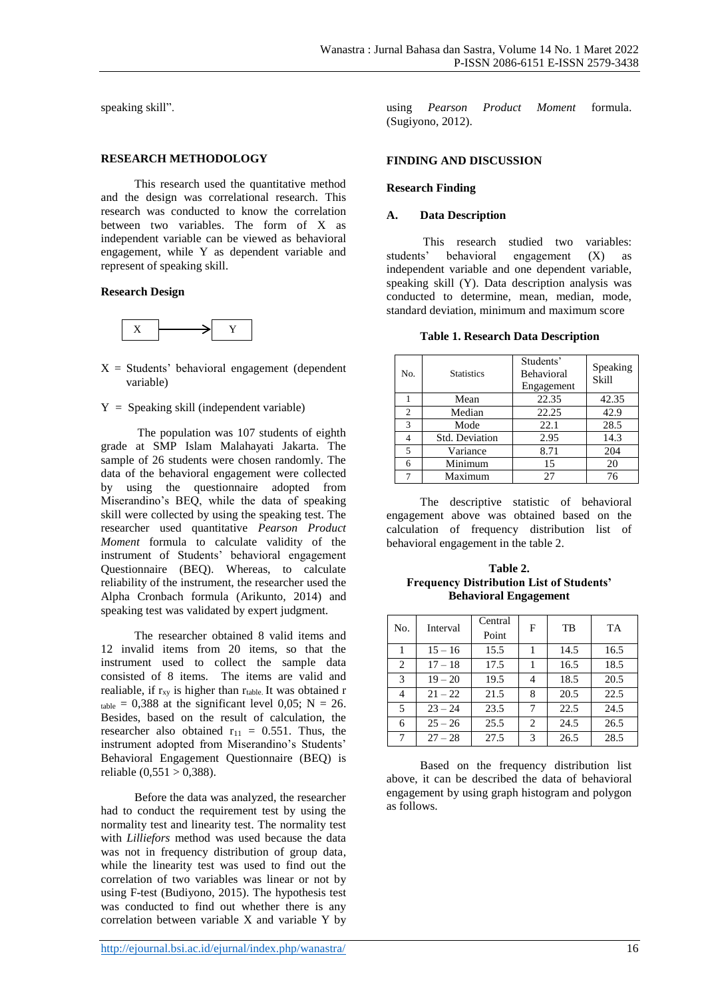speaking skill".

#### **RESEARCH METHODOLOGY**

This research used the quantitative method and the design was correlational research. This research was conducted to know the correlation between two variables. The form of X as independent variable can be viewed as behavioral engagement, while Y as dependent variable and represent of speaking skill.

# **Research Design**



- $X =$  Students' behavioral engagement (dependent variable)
- $Y =$  Speaking skill (independent variable)

The population was 107 students of eighth grade at SMP Islam Malahayati Jakarta. The sample of 26 students were chosen randomly. The data of the behavioral engagement were collected by using the questionnaire adopted from Miserandino's BEQ, while the data of speaking skill were collected by using the speaking test. The researcher used quantitative *Pearson Product Moment* formula to calculate validity of the instrument of Students' behavioral engagement Questionnaire (BEQ). Whereas, to calculate reliability of the instrument, the researcher used the Alpha Cronbach formula (Arikunto, 2014) and speaking test was validated by expert judgment.

The researcher obtained 8 valid items and 12 invalid items from 20 items, so that the instrument used to collect the sample data consisted of 8 items. The items are valid and realiable, if  $r_{xy}$  is higher than  $r_{table}$ . It was obtained r  $_{table} = 0,388$  at the significant level 0,05; N = 26. Besides, based on the result of calculation, the researcher also obtained  $r_{11} = 0.551$ . Thus, the instrument adopted from Miserandino's Students' Behavioral Engagement Questionnaire (BEQ) is reliable  $(0,551 > 0,388)$ .

Before the data was analyzed, the researcher had to conduct the requirement test by using the normality test and linearity test. The normality test with *Lilliefors* method was used because the data was not in frequency distribution of group data, while the linearity test was used to find out the correlation of two variables was linear or not by using F-test (Budiyono, 2015). The hypothesis test was conducted to find out whether there is any correlation between variable X and variable Y by

using *Pearson Product Moment* formula. (Sugiyono, 2012).

# **FINDING AND DISCUSSION**

# **Research Finding**

# **A. Data Description**

This research studied two variables: students' behavioral engagement (X) as independent variable and one dependent variable, speaking skill (Y). Data description analysis was conducted to determine, mean, median, mode, standard deviation, minimum and maximum score

**Table 1. Research Data Description**

| No. | <b>Statistics</b> | Students'<br>Behavioral<br>Engagement | Speaking<br>Skill |
|-----|-------------------|---------------------------------------|-------------------|
|     | Mean              | 22.35                                 | 42.35             |
| 2   | Median            | 22.25                                 | 42.9              |
| 3   | Mode              | 22.1                                  | 28.5              |
|     | Std. Deviation    | 2.95                                  | 14.3              |
| 5   | Variance          | 8.71                                  | 204               |
| 6   | Minimum           | 15                                    | 20                |
|     | Maximum           | 27                                    | 76                |

The descriptive statistic of behavioral engagement above was obtained based on the calculation of frequency distribution list of behavioral engagement in the table 2.

**Table 2. Frequency Distribution List of Students' Behavioral Engagement**

| No. | Interval  | Central<br>Point | F | TB   | TA   |
|-----|-----------|------------------|---|------|------|
| 1   | $15 - 16$ | 15.5             |   | 14.5 | 16.5 |
| 2   | $17 - 18$ | 17.5             |   | 16.5 | 18.5 |
| 3   | $19 - 20$ | 19.5             | 4 | 18.5 | 20.5 |
| 4   | $21 - 22$ | 21.5             | 8 | 20.5 | 22.5 |
| 5   | $23 - 24$ | 23.5             | 7 | 22.5 | 24.5 |
| 6   | $25 - 26$ | 25.5             | 2 | 24.5 | 26.5 |
| 7   | $27 - 28$ | 27.5             | 3 | 26.5 | 28.5 |

Based on the frequency distribution list above, it can be described the data of behavioral engagement by using graph histogram and polygon as follows.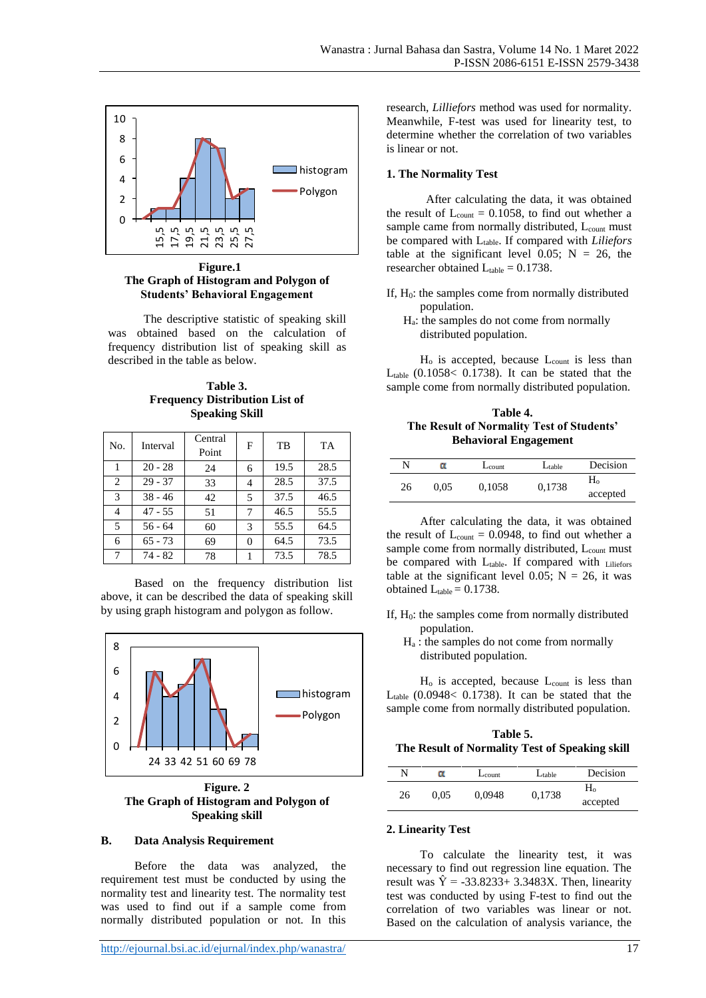

 **Figure.1 The Graph of Histogram and Polygon of Students' Behavioral Engagement**

The descriptive statistic of speaking skill was obtained based on the calculation of frequency distribution list of speaking skill as described in the table as below.

**Table 3. Frequency Distribution List of Speaking Skill**

| No. | Interval  | Central<br>Point | F | TB   | TA   |
|-----|-----------|------------------|---|------|------|
|     | $20 - 28$ | 24               | 6 | 19.5 | 28.5 |
| 2   | $29 - 37$ | 33               | 4 | 28.5 | 37.5 |
| 3   | $38 - 46$ | 42               | 5 | 37.5 | 46.5 |
| 4   | $47 - 55$ | 51               | 7 | 46.5 | 55.5 |
| 5   | $56 - 64$ | 60               | 3 | 55.5 | 64.5 |
| 6   | $65 - 73$ | 69               | 0 | 64.5 | 73.5 |
| 7   | 74 - 82   | 78               |   | 73.5 | 78.5 |

Based on the frequency distribution list above, it can be described the data of speaking skill by using graph histogram and polygon as follow.



**Figure. 2 The Graph of Histogram and Polygon of Speaking skill**

#### **B. Data Analysis Requirement**

Before the data was analyzed, the requirement test must be conducted by using the normality test and linearity test. The normality test was used to find out if a sample come from normally distributed population or not. In this

<http://ejournal.bsi.ac.id/ejurnal/index.php/wanastra/> 17

research, *Lilliefors* method was used for normality. Meanwhile, F-test was used for linearity test, to determine whether the correlation of two variables is linear or not.

#### **1. The Normality Test**

 After calculating the data, it was obtained the result of  $L_{\text{count}} = 0.1058$ , to find out whether a sample came from normally distributed, L<sub>count</sub> must be compared with Ltable. If compared with *Liliefors* table at the significant level  $0.05$ ; N = 26, the researcher obtained  $L_{table} = 0.1738$ .

- If,  $H_0$ : the samples come from normally distributed population.
	- $H_a$ : the samples do not come from normally distributed population.

 $H<sub>o</sub>$  is accepted, because  $L<sub>count</sub>$  is less than  $L_{table}$  (0.1058< 0.1738). It can be stated that the sample come from normally distributed population.

**Table 4. The Result of Normality Test of Students' Behavioral Engagement**

| N  | α    | $L_{\text{count}}$ | $L_{table}$ | Decision   |
|----|------|--------------------|-------------|------------|
| 26 | 0.05 | 0,1058             | 0,1738      | $\rm{H}_o$ |
|    |      |                    |             | accepted   |

After calculating the data, it was obtained the result of  $L_{\text{count}} = 0.0948$ , to find out whether a sample come from normally distributed, L<sub>count</sub> must be compared with Ltable. If compared with Liliefors table at the significant level 0.05;  $N = 26$ , it was obtained  $L_{table} = 0.1738$ .

- If,  $H<sub>0</sub>$ : the samples come from normally distributed population.
	- H<sup>a</sup> : the samples do not come from normally distributed population.

 $H<sub>o</sub>$  is accepted, because  $L<sub>count</sub>$  is less than  $L_{table}$  (0.0948< 0.1738). It can be stated that the sample come from normally distributed population.

| Table 5.                                       |
|------------------------------------------------|
| The Result of Normality Test of Speaking skill |

| N  | α | $L_{\text{count}}$ | $L_{table}$ | Decision       |
|----|---|--------------------|-------------|----------------|
| 26 |   |                    | 0,1738      | H <sub>o</sub> |
|    |   | 0,0948<br>0.05     |             | accepted       |

#### **2. Linearity Test**

To calculate the linearity test, it was necessary to find out regression line equation. The result was  $\hat{Y} = -33.8233 + 3.3483X$ . Then, linearity test was conducted by using F-test to find out the correlation of two variables was linear or not. Based on the calculation of analysis variance, the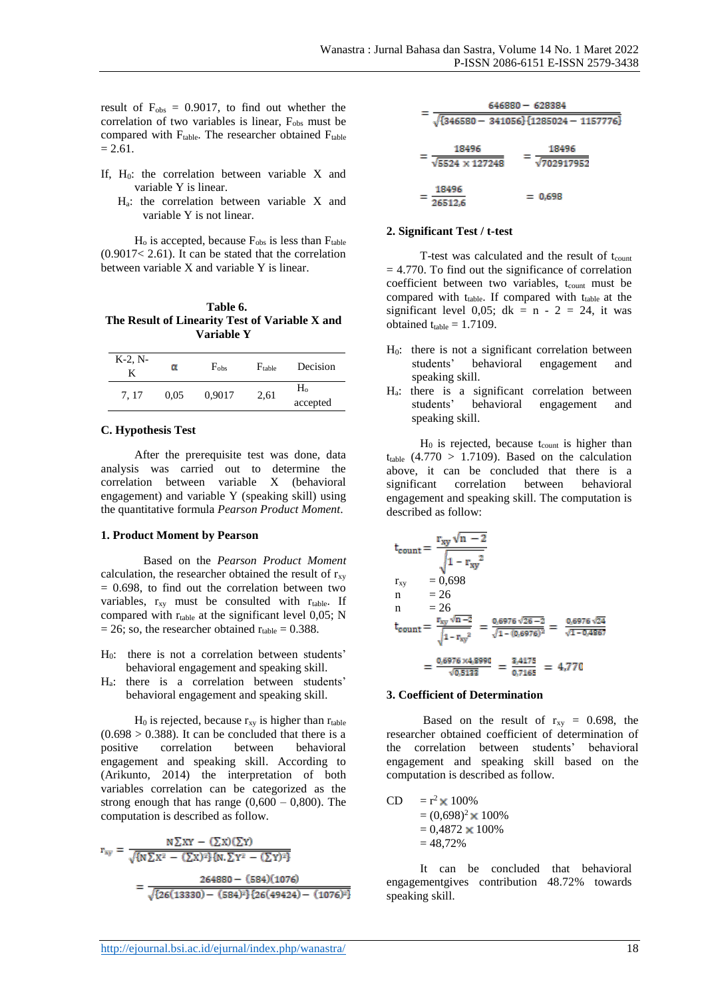result of  $F_{obs} = 0.9017$ , to find out whether the correlation of two variables is linear, F<sub>obs</sub> must be compared with  $F_{table}$ . The researcher obtained  $F_{table}$  $= 2.61.$ 

- If,  $H_0$ : the correlation between variable X and variable Y is linear.
	- Ha: the correlation between variable X and variable Y is not linear.

 $H<sub>o</sub>$  is accepted, because  $F<sub>obs</sub>$  is less than  $F<sub>table</sub>$  $(0.9017< 2.61)$ . It can be stated that the correlation between variable X and variable Y is linear.

| Table 6.                                       |
|------------------------------------------------|
| The Result of Linearity Test of Variable X and |
| Variable Y                                     |

| $K-2, N-$<br>K |      | $F_{obs}$ | $F_{table}$ | Decision                   |
|----------------|------|-----------|-------------|----------------------------|
| 7.17           | 0.05 | 0,9017    | 2,61        | H <sub>o</sub><br>accepted |

# **C. Hypothesis Test**

After the prerequisite test was done, data analysis was carried out to determine the correlation between variable X (behavioral engagement) and variable Y (speaking skill) using the quantitative formula *Pearson Product Moment*.

# **1. Product Moment by Pearson**

 Based on the *Pearson Product Moment* calculation, the researcher obtained the result of  $r_{xy}$  $= 0.698$ , to find out the correlation between two variables,  $r_{xy}$  must be consulted with  $r_{table}$ . If compared with  $r_{table}$  at the significant level 0,05; N  $= 26$ ; so, the researcher obtained  $r_{table} = 0.388$ .

- H0: there is not a correlation between students' behavioral engagement and speaking skill.
- Ha: there is a correlation between students' behavioral engagement and speaking skill.

 $H_0$  is rejected, because  $r_{xy}$  is higher than  $r_{table}$  $(0.698 > 0.388)$ . It can be concluded that there is a positive correlation between behavioral engagement and speaking skill. According to (Arikunto, 2014) the interpretation of both variables correlation can be categorized as the strong enough that has range  $(0,600 - 0,800)$ . The computation is described as follow.

$$
r_{xy} = \frac{N \sum XY - (\sum X)(\sum Y)}{\sqrt{\{N \sum X^2 - (\sum X)^2\} \{N, \sum Y^2 - (\sum Y)^2\}}}
$$

$$
= \frac{264880 - (584)(1076)}{\sqrt{\{26(13330) - (584)^2\} \{26(49424) - (1076)^2\}}}
$$

| $646880 - 628384$                                 |  |           |                     |  |
|---------------------------------------------------|--|-----------|---------------------|--|
| $\sqrt{\{346580 - 341056\}\{1285024 - 1157776\}}$ |  |           |                     |  |
| 18496<br>$\sqrt{5524 \times 127248}$              |  |           | 18496<br>√702917952 |  |
| 18496<br>26512,6                                  |  | $= 0.698$ |                     |  |

# **2. Significant Test / t-test**

T-test was calculated and the result of  $t_{\text{count}}$  $= 4.770$ . To find out the significance of correlation coefficient between two variables, t<sub>count</sub> must be compared with  $t_{table}$ . If compared with  $t_{table}$  at the significant level 0,05; dk =  $n - 2 = 24$ , it was obtained  $t_{table} = 1.7109$ .

- $H<sub>0</sub>$ : there is not a significant correlation between students' behavioral engagement and speaking skill.
- $H_a$ : there is a significant correlation between<br>students' behavioral engagement and behavioral engagement and speaking skill.

 $H_0$  is rejected, because t<sub>count</sub> is higher than  $t_{table}$  (4.770 > 1.7109). Based on the calculation above, it can be concluded that there is a significant correlation between behavioral engagement and speaking skill. The computation is described as follow:

$$
t_{\text{count}} = \frac{r_{xy} \sqrt{n - 2}}{\sqrt{1 - r_{xy}^2}}
$$
  
\n
$$
r_{xy} = 0.698
$$
  
\n
$$
n = 26
$$
  
\n
$$
t_{\text{count}} = \frac{r_{xy} \sqrt{n - 2}}{\sqrt{1 - r_{xy}^2}} = \frac{0.6976 \sqrt{26 - 2}}{\sqrt{1 - (0.6976)^2}} = \frac{0.6976 \sqrt{24}}{\sqrt{1 - 0.4867}}
$$
  
\n
$$
= \frac{0.6976 \times 4.8990}{\sqrt{0.5133}} = \frac{3.4175}{0.7165} = 4.770
$$

#### **3. Coefficient of Determination**

Based on the result of  $r_{xy} = 0.698$ , the researcher obtained coefficient of determination of the correlation between students' behavioral engagement and speaking skill based on the computation is described as follow.

 $CD = r^2 \times 100\%$  $=(0.698)^2 \times 100\%$  $= 0.4872 \times 100\%$  $= 48.72\%$ 

It can be concluded that behavioral engagementgives contribution 48.72% towards speaking skill.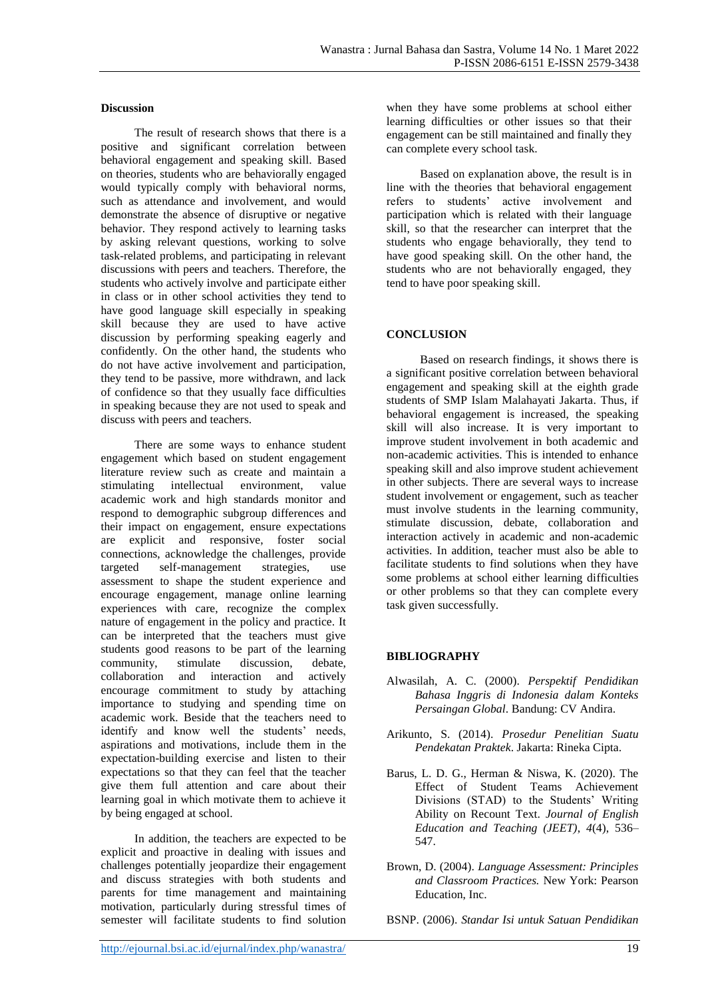#### **Discussion**

The result of research shows that there is a positive and significant correlation between behavioral engagement and speaking skill. Based on theories, students who are behaviorally engaged would typically comply with behavioral norms, such as attendance and involvement, and would demonstrate the absence of disruptive or negative behavior. They respond actively to learning tasks by asking relevant questions, working to solve task-related problems, and participating in relevant discussions with peers and teachers. Therefore, the students who actively involve and participate either in class or in other school activities they tend to have good language skill especially in speaking skill because they are used to have active discussion by performing speaking eagerly and confidently. On the other hand, the students who do not have active involvement and participation, they tend to be passive, more withdrawn, and lack of confidence so that they usually face difficulties in speaking because they are not used to speak and discuss with peers and teachers.

There are some ways to enhance student engagement which based on student engagement literature review such as create and maintain a stimulating intellectual environment, value academic work and high standards monitor and respond to demographic subgroup differences and their impact on engagement, ensure expectations are explicit and responsive, foster social connections, acknowledge the challenges, provide targeted self-management strategies, use assessment to shape the student experience and encourage engagement, manage online learning experiences with care, recognize the complex nature of engagement in the policy and practice. It can be interpreted that the teachers must give students good reasons to be part of the learning community, stimulate discussion, debate, collaboration and interaction and actively encourage commitment to study by attaching importance to studying and spending time on academic work. Beside that the teachers need to identify and know well the students' needs, aspirations and motivations, include them in the expectation-building exercise and listen to their expectations so that they can feel that the teacher give them full attention and care about their learning goal in which motivate them to achieve it by being engaged at school.

In addition, the teachers are expected to be explicit and proactive in dealing with issues and challenges potentially jeopardize their engagement and discuss strategies with both students and parents for time management and maintaining motivation, particularly during stressful times of semester will facilitate students to find solution when they have some problems at school either learning difficulties or other issues so that their engagement can be still maintained and finally they can complete every school task.

Based on explanation above, the result is in line with the theories that behavioral engagement refers to students' active involvement and participation which is related with their language skill, so that the researcher can interpret that the students who engage behaviorally, they tend to have good speaking skill. On the other hand, the students who are not behaviorally engaged, they tend to have poor speaking skill.

# **CONCLUSION**

Based on research findings, it shows there is a significant positive correlation between behavioral engagement and speaking skill at the eighth grade students of SMP Islam Malahayati Jakarta. Thus, if behavioral engagement is increased, the speaking skill will also increase. It is very important to improve student involvement in both academic and non-academic activities. This is intended to enhance speaking skill and also improve student achievement in other subjects. There are several ways to increase student involvement or engagement, such as teacher must involve students in the learning community, stimulate discussion, debate, collaboration and interaction actively in academic and non-academic activities. In addition, teacher must also be able to facilitate students to find solutions when they have some problems at school either learning difficulties or other problems so that they can complete every task given successfully.

# **BIBLIOGRAPHY**

- Alwasilah, A. C. (2000). *Perspektif Pendidikan Bahasa Inggris di Indonesia dalam Konteks Persaingan Global*. Bandung: CV Andira.
- Arikunto, S. (2014). *Prosedur Penelitian Suatu Pendekatan Praktek*. Jakarta: Rineka Cipta.
- Barus, L. D. G., Herman & Niswa, K. (2020). The Effect of Student Teams Achievement Divisions (STAD) to the Students' Writing Ability on Recount Text. *Journal of English Education and Teaching (JEET)*, *4*(4), 536– 547.
- Brown, D. (2004). *Language Assessment: Principles and Classroom Practices.* New York: Pearson Education, Inc.

BSNP. (2006). *Standar Isi untuk Satuan Pendidikan*